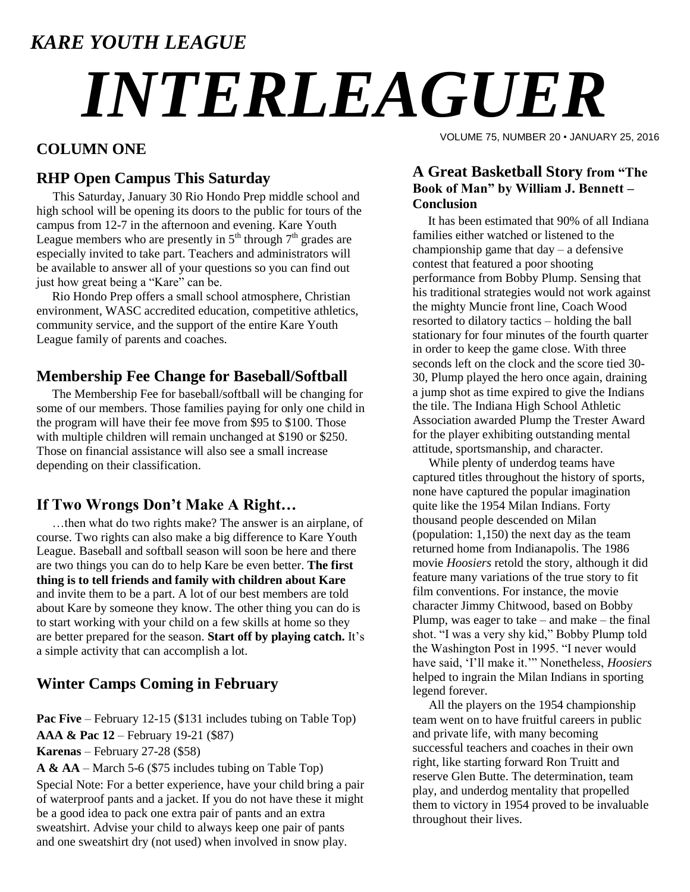### *KARE YOUTH LEAGUE*

# *INTERLEAGUER*

#### **COLUMN ONE**

#### **RHP Open Campus This Saturday**

This Saturday, January 30 Rio Hondo Prep middle school and high school will be opening its doors to the public for tours of the campus from 12-7 in the afternoon and evening. Kare Youth League members who are presently in  $5<sup>th</sup>$  through  $7<sup>th</sup>$  grades are especially invited to take part. Teachers and administrators will be available to answer all of your questions so you can find out just how great being a "Kare" can be.

 Rio Hondo Prep offers a small school atmosphere, Christian environment, WASC accredited education, competitive athletics, community service, and the support of the entire Kare Youth League family of parents and coaches.

#### **Membership Fee Change for Baseball/Softball**

 The Membership Fee for baseball/softball will be changing for some of our members. Those families paying for only one child in the program will have their fee move from \$95 to \$100. Those with multiple children will remain unchanged at \$190 or \$250. Those on financial assistance will also see a small increase depending on their classification.

#### **If Two Wrongs Don't Make A Right…**

 …then what do two rights make? The answer is an airplane, of course. Two rights can also make a big difference to Kare Youth League. Baseball and softball season will soon be here and there are two things you can do to help Kare be even better. **The first thing is to tell friends and family with children about Kare** and invite them to be a part. A lot of our best members are told about Kare by someone they know. The other thing you can do is to start working with your child on a few skills at home so they are better prepared for the season. **Start off by playing catch.** It's a simple activity that can accomplish a lot.

#### **Winter Camps Coming in February**

**Pac Five** – February 12-15 (\$131 includes tubing on Table Top) **AAA & Pac 12** – February 19-21 (\$87) **Karenas** – February 27-28 (\$58)

**A & AA** – March 5-6 (\$75 includes tubing on Table Top)

Special Note: For a better experience, have your child bring a pair of waterproof pants and a jacket. If you do not have these it might be a good idea to pack one extra pair of pants and an extra sweatshirt. Advise your child to always keep one pair of pants and one sweatshirt dry (not used) when involved in snow play.

VOLUME 75, NUMBER 20 • JANUARY 25, 2016

#### **A Great Basketball Story from "The Book of Man" by William J. Bennett – Conclusion**

 It has been estimated that 90% of all Indiana families either watched or listened to the championship game that  $day - a$  defensive contest that featured a poor shooting performance from Bobby Plump. Sensing that his traditional strategies would not work against the mighty Muncie front line, Coach Wood resorted to dilatory tactics – holding the ball stationary for four minutes of the fourth quarter in order to keep the game close. With three seconds left on the clock and the score tied 30- 30, Plump played the hero once again, draining a jump shot as time expired to give the Indians the tile. The Indiana High School Athletic Association awarded Plump the Trester Award for the player exhibiting outstanding mental attitude, sportsmanship, and character.

While plenty of underdog teams have captured titles throughout the history of sports, none have captured the popular imagination quite like the 1954 Milan Indians. Forty thousand people descended on Milan (population: 1,150) the next day as the team returned home from Indianapolis. The 1986 movie *Hoosiers* retold the story, although it did feature many variations of the true story to fit film conventions. For instance, the movie character Jimmy Chitwood, based on Bobby Plump, was eager to take – and make – the final shot. "I was a very shy kid," Bobby Plump told the Washington Post in 1995. "I never would have said, "I"ll make it."" Nonetheless, *Hoosiers* helped to ingrain the Milan Indians in sporting legend forever.

All the players on the 1954 championship team went on to have fruitful careers in public and private life, with many becoming successful teachers and coaches in their own right, like starting forward Ron Truitt and reserve Glen Butte. The determination, team play, and underdog mentality that propelled them to victory in 1954 proved to be invaluable throughout their lives.